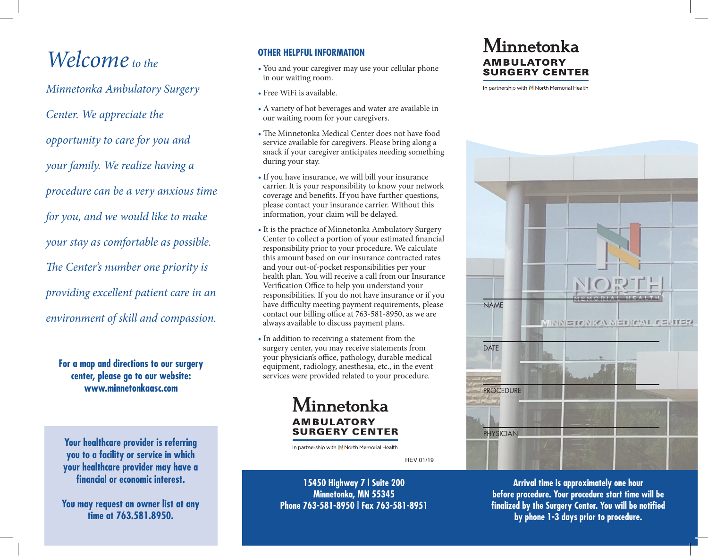# *Welcome to the*

*Minnetonka Ambulatory Surgery Center. We appreciate the opportunity to care for you and your family. We realize having a procedure can be a very anxious time for you, and we would like to make your stay as comfortable as possible. The Center's number one priority is providing excellent patient care in an environment of skill and compassion.*

## **for a map and directions to our surgery center, please go to our website: www.minnetonkaasc.com**

**your healthcare provider is referring you to a facility or service in which your healthcare provider may have a**  financial or economic interest.

**you may request an owner list at any time at 763.581.8950.**

#### **otHer HeLpfuL information**

- You and your caregiver may use your cellular phone in our waiting room.
- Free WiFi is available.
- A variety of hot beverages and water are available in our waiting room for your caregivers.
- The Minnetonka Medical Center does not have food service available for caregivers. Please bring along a snack if your caregiver anticipates needing something during your stay.
- If you have insurance, we will bill your insurance carrier. It is your responsibility to know your network coverage and benefits. If you have further questions, please contact your insurance carrier. Without this information, your claim will be delayed.
- It is the practice of Minnetonka Ambulatory Surgery Center to collect a portion of your estimated financial responsibility prior to your procedure. We calculate this amount based on our insurance contracted rates and your out-of-pocket responsibilities per your health plan. You will receive a call from our Insurance Verification Office to help you understand your responsibilities. If you do not have insurance or if you have difficulty meeting payment requirements, please contact our billing office at 763-581-8950, as we are always available to discuss payment plans.
- In addition to receiving a statement from the surgery center, you may receive statements from your physician's office, pathology, durable medical equipment, radiology, anesthesia, etc., in the event services were provided related to your procedure.

# Minnetonka **AMBULATORY SURGERY CENTER**

In partnership with N North Memorial Health

REV 01/19

**15450 Highway 7 | suite 200 minnetonka, mn 55345 phone 763-581-8950 | fax 763-581-8951**

# Minnetonka **AMBULATORY SURGERY CENTER**

In partnership with N North Memorial Health



**arrival time is approximately one hour before procedure. your procedure start time will be**  finalized by the Surgery Center. You will be notified **by phone 1-3 days prior to procedure.**